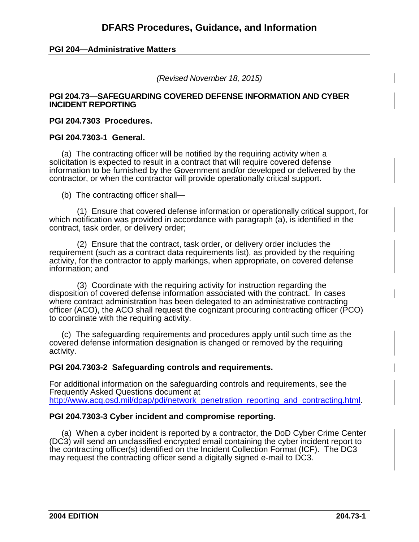#### **PGI 204—Administrative Matters**

*(Revised November 18, 2015)*

#### **PGI 204.73—SAFEGUARDING COVERED DEFENSE INFORMATION AND CYBER INCIDENT REPORTING**

#### **PGI 204.7303 Procedures.**

#### **PGI 204.7303-1 General.**

(a) The contracting officer will be notified by the requiring activity when a solicitation is expected to result in a contract that will require covered defense information to be furnished by the Government and/or developed or delivered by the contractor, or when the contractor will provide operationally critical support.

(b) The contracting officer shall—

(1) Ensure that covered defense information or operationally critical support, for which notification was provided in accordance with paragraph (a), is identified in the contract, task order, or delivery order;

(2) Ensure that the contract, task order, or delivery order includes the requirement (such as a contract data requirements list), as provided by the requiring activity, for the contractor to apply markings, when appropriate, on covered defense information; and

(3) Coordinate with the requiring activity for instruction regarding the disposition of covered defense information associated with the contract. In cases where contract administration has been delegated to an administrative contracting officer (ACO), the ACO shall request the cognizant procuring contracting officer (PCO) to coordinate with the requiring activity.

(c) The safeguarding requirements and procedures apply until such time as the covered defense information designation is changed or removed by the requiring activity.

#### **PGI 204.7303-2 Safeguarding controls and requirements.**

For additional information on the safeguarding controls and requirements, see the Frequently Asked Questions document at http://www.acq.osd.mil/dpap/pdi/network\_penetration\_reporting\_and\_contracting.html

#### **PGI 204.7303-3 Cyber incident and compromise reporting.**

(a) When a cyber incident is reported by a contractor, the DoD Cyber Crime Center (DC3) will send an unclassified encrypted email containing the cyber incident report to the contracting officer(s) identified on the Incident Collection Format (ICF). The DC3 may request the contracting officer send a digitally signed e-mail to DC3.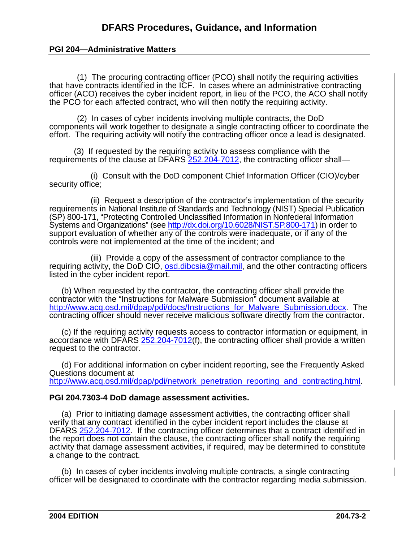## **PGI 204—Administrative Matters**

(1) The procuring contracting officer (PCO) shall notify the requiring activities that have contracts identified in the ICF. In cases where an administrative contracting officer (ACO) receives the cyber incident report, in lieu of the PCO, the ACO shall notify the PCO for each affected contract, who will then notify the requiring activity.

(2) In cases of cyber incidents involving multiple contracts, the DoD components will work together to designate a single contracting officer to coordinate the effort. The requiring activity will notify the contracting officer once a lead is designated.

(3) If requested by the requiring activity to assess compliance with the requirements of the clause at DFARS [252.204-7012,](http://www.acq.osd.mil/dpap/dars/dfars/html/current/252204.htm#252.204-7012) the contracting officer shall—

(i) Consult with the DoD component Chief Information Officer (CIO)/cyber security office;

(ii) Request a description of the contractor's implementation of the security requirements in National Institute of Standards and Technology (NIST) Special Publication (SP) 800-171, "Protecting Controlled Unclassified Information in Nonfederal Information Systems and Organizations" (see [http://dx.doi.org/10.6028/NIST.SP.800-171\)](http://dx.doi.org/10.6028/NIST.SP.800-171) in order to support evaluation of whether any of the controls were inadequate, or if any of the controls were not implemented at the time of the incident; and

(iii) Provide a copy of the assessment of contractor compliance to the requiring activity, the DoD CIO, [osd.dibcsia@mail.mil,](mailto:osd.dibcsia@mail.mil) and the other contracting officers listed in the cyber incident report.

(b) When requested by the contractor, the contracting officer shall provide the contractor with the "Instructions for Malware Submission" document available at [http://www.acq.osd.mil/dpap/pdi/docs/Instructions\\_for\\_Malware\\_Submission.docx.](http://www.acq.osd.mil/dpap/pdi/docs/Instructions_for_Malware_Submission.docx) The contracting officer should never receive malicious software directly from the contractor.

(c) If the requiring activity requests access to contractor information or equipment, in accordance with DFARS [252.204-7012\(](http://www.acq.osd.mil/dpap/dars/dfars/html/current/252204.htm#252.204-7012)f), the contracting officer shall provide a written request to the contractor.

(d) For additional information on cyber incident reporting, see the Frequently Asked Questions document at http://www.acq.osd.mil/dpap/pdi/network\_penetration\_reporting\_and\_contracting.html

#### **PGI 204.7303-4 DoD damage assessment activities.**

(a) Prior to initiating damage assessment activities, the contracting officer shall verify that any contract identified in the cyber incident report includes the clause at DFARS [252.204-7012.](http://www.acq.osd.mil/dpap/dars/dfars/html/current/252204.htm#252.204-7012) If the contracting officer determines that a contract identified in the report does not contain the clause, the contracting officer shall notify the requiring activity that damage assessment activities, if required, may be determined to constitute a change to the contract.

(b) In cases of cyber incidents involving multiple contracts, a single contracting officer will be designated to coordinate with the contractor regarding media submission.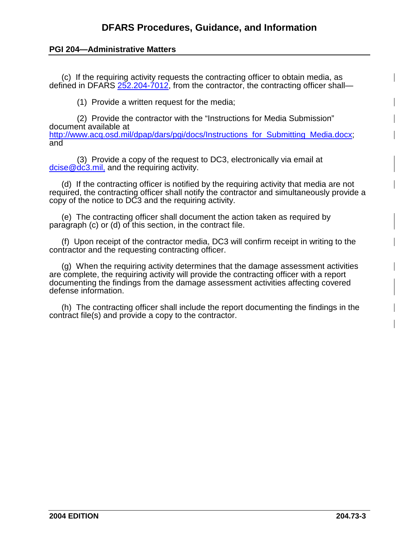## **PGI 204—Administrative Matters**

(c) If the requiring activity requests the contracting officer to obtain media, as defined in DFARS [252.204-7012,](http://www.acq.osd.mil/dpap/dars/dfars/html/current/252204.htm#252.204-7012) from the contractor, the contracting officer shall—

(1) Provide a written request for the media;

(2) Provide the contractor with the "Instructions for Media Submission" document available at [http://www.acq.osd.mil/dpap/dars/pgi/docs/Instructions\\_for\\_Submitting\\_Media.docx;](http://www.acq.osd.mil/dpap/dars/pgi/docs/Instructions_for_Submitting_Media.docx) and

(3) Provide a copy of the request to DC3, electronically via email at [dcise@dc3.mil,](mailto:dcise@dc3.mil) and the requiring activity.

(d) If the contracting officer is notified by the requiring activity that media are not required, the contracting officer shall notify the contractor and simultaneously provide a copy of the notice to DC3 and the requiring activity.

(e) The contracting officer shall document the action taken as required by paragraph (c) or (d) of this section, in the contract file.

(f) Upon receipt of the contractor media, DC3 will confirm receipt in writing to the contractor and the requesting contracting officer.

(g) When the requiring activity determines that the damage assessment activities are complete, the requiring activity will provide the contracting officer with a report documenting the findings from the damage assessment activities affecting covered defense information.

(h) The contracting officer shall include the report documenting the findings in the contract file(s) and provide a copy to the contractor.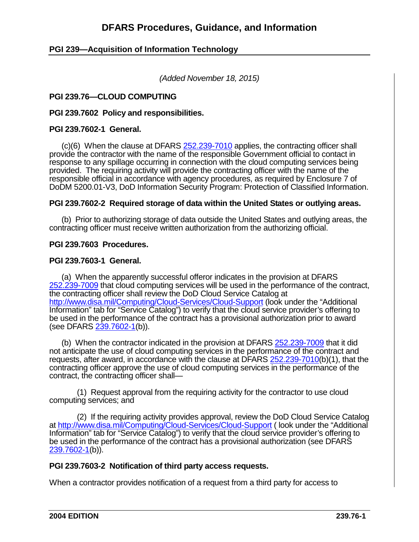# **PGI 239—Acquisition of Information Technology**

*(Added November 18, 2015)*

## **PGI 239.76—CLOUD COMPUTING**

**PGI 239.7602 Policy and responsibilities.**

#### **PGI 239.7602-1 General.**

(c)(6) When the clause at DFARS [252.239-7010](http://www.acq.osd.mil/dpap/dars/dfars/html/current/252239.htm#252.239-7010) applies, the contracting officer shall provide the contractor with the name of the responsible Government official to contact in response to any spillage occurring in connection with the cloud computing services being provided. The requiring activity will provide the contracting officer with the name of the responsible official in accordance with agency procedures, as required by Enclosure 7 of DoDM 5200.01-V3, DoD Information Security Program: Protection of Classified Information.

#### **PGI 239.7602-2 Required storage of data within the United States or outlying areas.**

(b) Prior to authorizing storage of data outside the United States and outlying areas, the contracting officer must receive written authorization from the authorizing official.

#### **PGI 239.7603 Procedures.**

#### **PGI 239.7603-1 General.**

(a) When the apparently successful offeror indicates in the provision at DFARS [252.239-7009](http://www.acq.osd.mil/dpap/dars/dfars/html/current/252239.htm#252.239-7009) that cloud computing services will be used in the performance of the contract, the contracting officer shall review the DoD Cloud Service Catalog at <http://www.disa.mil/Computing/Cloud-Services/Cloud-Support> (look under the "Additional Information" tab for "Service Catalog") to verify that the cloud service provider's offering to be used in the performance of the contract has a provisional authorization prior to award (see DFARS [239.7602-1\(](http://www.acq.osd.mil/dpap/dars/dfars/html/current/239_76.htm#239.7602-1)b)).

(b) When the contractor indicated in the provision at DFARS [252.239-7009](http://www.acq.osd.mil/dpap/dars/dfars/html/current/252239.htm#252.239-7009) that it did not anticipate the use of cloud computing services in the performance of the contract and requests, after award, in accordance with the clause at DFARS [252.239-7010\(](http://www.acq.osd.mil/dpap/dars/dfars/html/current/252239.htm#252.239-7010)b)(1), that the contracting officer approve the use of cloud computing services in the performance of the contract, the contracting officer shall—

(1) Request approval from the requiring activity for the contractor to use cloud computing services; and

(2) If the requiring activity provides approval, review the DoD Cloud Service Catalog at<http://www.disa.mil/Computing/Cloud-Services/Cloud-Support> (look under the "Additional Information" tab for "Service Catalog") to verify that the cloud service provider's offering to be used in the performance of the contract has a provisional authorization (see DFARS [239.7602-1\(](http://www.acq.osd.mil/dpap/dars/dfars/html/current/239_76.htm#239.7602-1)b)).

#### **PGI 239.7603-2 Notification of third party access requests.**

When a contractor provides notification of a request from a third party for access to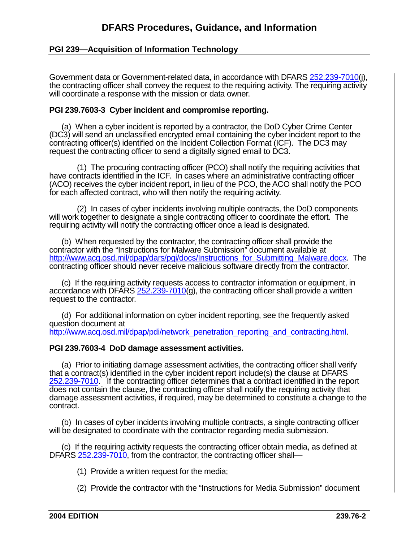# **PGI 239—Acquisition of Information Technology**

Government data or Government-related data, in accordance with DFARS [252.239-7010\(](http://www.acq.osd.mil/dpap/dars/dfars/html/current/252239.htm#252.239-7010)j), the contracting officer shall convey the request to the requiring activity. The requiring activity will coordinate a response with the mission or data owner.

### **PGI 239.7603-3 Cyber incident and compromise reporting.**

(a) When a cyber incident is reported by a contractor, the DoD Cyber Crime Center (DC3) will send an unclassified encrypted email containing the cyber incident report to the contracting officer(s) identified on the Incident Collection Format (ICF). The DC3 may request the contracting officer to send a digitally signed email to DC3.

(1) The procuring contracting officer (PCO) shall notify the requiring activities that have contracts identified in the ICF. In cases where an administrative contracting officer (ACO) receives the cyber incident report, in lieu of the PCO, the ACO shall notify the PCO for each affected contract, who will then notify the requiring activity.

(2) In cases of cyber incidents involving multiple contracts, the DoD components will work together to designate a single contracting officer to coordinate the effort. The requiring activity will notify the contracting officer once a lead is designated.

(b) When requested by the contractor, the contracting officer shall provide the contractor with the "Instructions for Malware Submission" document available at http://www.acq.osd.mil/dpap/dars/pgi/docs/Instructions for Submitting Malware.docx. The contracting officer should never receive malicious software directly from the contractor.

(c) If the requiring activity requests access to contractor information or equipment, in accordance with DFARS  $252.239-7010$ (g), the contracting officer shall provide a written request to the contractor.

(d) For additional information on cyber incident reporting, see the frequently asked question document at http://www.acq.osd.mil/dpap/pdi/network\_penetration\_reporting\_and\_contracting.html

#### **PGI 239.7603-4 DoD damage assessment activities.**

(a) Prior to initiating damage assessment activities, the contracting officer shall verify that a contract(s) identified in the cyber incident report include(s) the clause at DFARS [252.239-7010.](http://www.acq.osd.mil/dpap/dars/dfars/html/current/252239.htm#252.239-7010) If the contracting officer determines that a contract identified in the report does not contain the clause, the contracting officer shall notify the requiring activity that damage assessment activities, if required, may be determined to constitute a change to the contract.

(b) In cases of cyber incidents involving multiple contracts, a single contracting officer will be designated to coordinate with the contractor regarding media submission.

(c) If the requiring activity requests the contracting officer obtain media, as defined at DFARS [252.239-7010,](http://www.acq.osd.mil/dpap/dars/dfars/html/current/252239.htm#252.239-7010) from the contractor, the contracting officer shall—

(1) Provide a written request for the media;

(2) Provide the contractor with the "Instructions for Media Submission" document